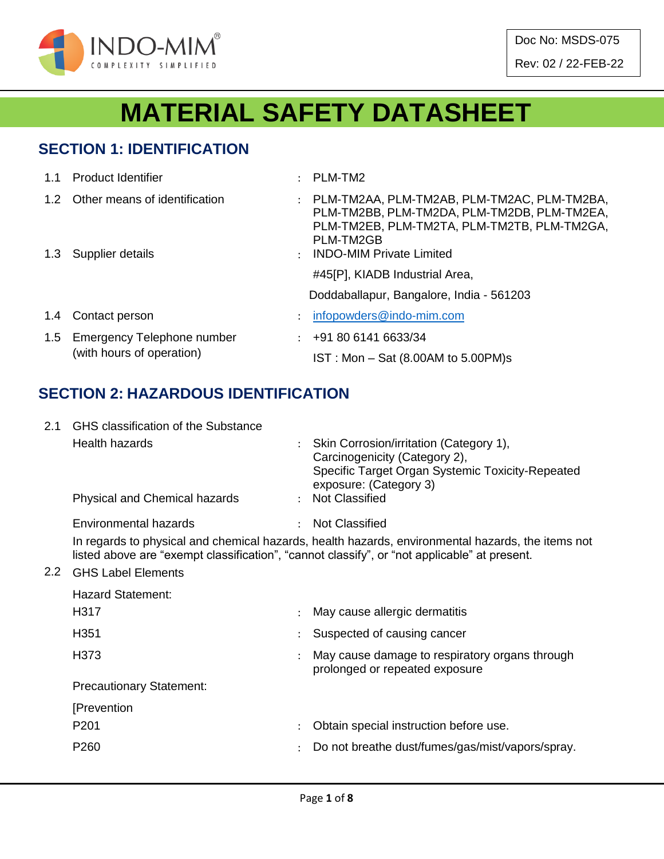

Doc No: MSDS-075 Rev: 02 / 22-FEB-22

# **MATERIAL SAFETY DATASHEET**

# **SECTION 1: IDENTIFICATION**

| 1.1 | <b>Product Identifier</b>                                   |               | PLM-TM2                                                                                                                                                                                   |
|-----|-------------------------------------------------------------|---------------|-------------------------------------------------------------------------------------------------------------------------------------------------------------------------------------------|
|     | 1.2 Other means of identification<br>1.3 Supplier details   | $\mathcal{L}$ | PLM-TM2AA, PLM-TM2AB, PLM-TM2AC, PLM-TM2BA,<br>PLM-TM2BB, PLM-TM2DA, PLM-TM2DB, PLM-TM2EA,<br>PLM-TM2EB, PLM-TM2TA, PLM-TM2TB, PLM-TM2GA,<br>PLM-TM2GB<br><b>INDO-MIM Private Limited</b> |
|     |                                                             |               | #45[P], KIADB Industrial Area,<br>Doddaballapur, Bangalore, India - 561203                                                                                                                |
| 1.4 | Contact person                                              |               | infopowders@indo-mim.com                                                                                                                                                                  |
|     | 1.5 Emergency Telephone number<br>(with hours of operation) |               | $\div$ +91 80 6141 6633/34<br>$IST: Mon - Sat (8.00AM to 5.00PM)s$                                                                                                                        |

# **SECTION 2: HAZARDOUS IDENTIFICATION**

| 2.1 | GHS classification of the Substance  |                                                                                                                                                                                                   |
|-----|--------------------------------------|---------------------------------------------------------------------------------------------------------------------------------------------------------------------------------------------------|
|     | Health hazards                       | : Skin Corrosion/irritation (Category 1),<br>Carcinogenicity (Category 2),<br>Specific Target Organ Systemic Toxicity-Repeated<br>exposure: (Category 3)                                          |
|     | <b>Physical and Chemical hazards</b> | : Not Classified                                                                                                                                                                                  |
|     | Environmental hazards                | <b>Not Classified</b>                                                                                                                                                                             |
|     |                                      | In regards to physical and chemical hazards, health hazards, environmental hazards, the items not<br>listed above are "exempt classification", "cannot classify", or "not applicable" at present. |

#### 2.2 GHS Label Elements

| <b>Hazard Statement:</b>        |               |                                                                                  |
|---------------------------------|---------------|----------------------------------------------------------------------------------|
| H <sub>3</sub> 17               |               | May cause allergic dermatitis                                                    |
| H <sub>351</sub>                |               | Suspected of causing cancer                                                      |
| H <sub>3</sub> 73               |               | May cause damage to respiratory organs through<br>prolonged or repeated exposure |
| <b>Precautionary Statement:</b> |               |                                                                                  |
| [Prevention                     |               |                                                                                  |
| P <sub>201</sub>                |               | Obtain special instruction before use.                                           |
| P <sub>260</sub>                | $\mathcal{L}$ | Do not breathe dust/fumes/gas/mist/vapors/spray.                                 |
|                                 |               |                                                                                  |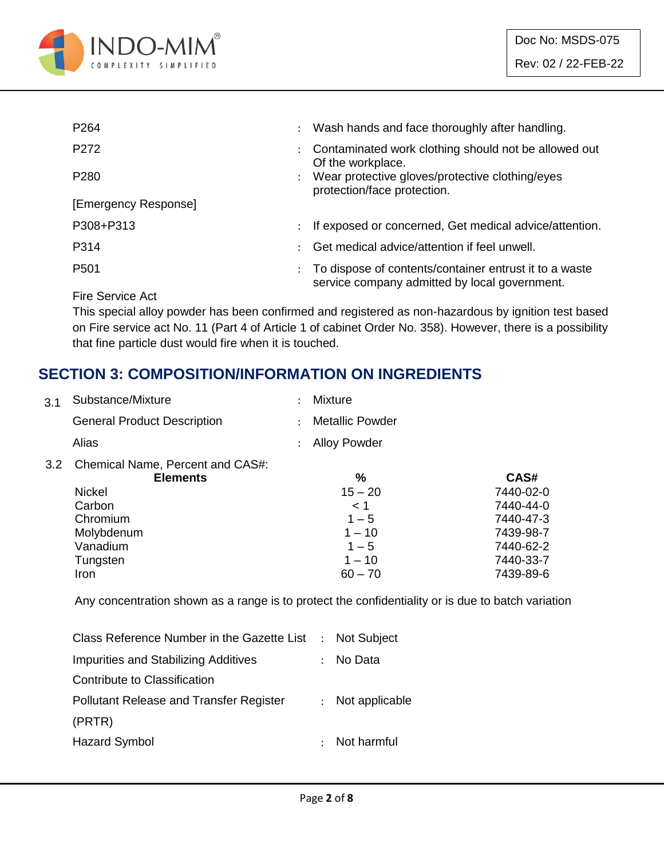

| P <sub>264</sub>     | $\ddot{\phantom{0}}$ | Wash hands and face thoroughly after handling.                                                          |
|----------------------|----------------------|---------------------------------------------------------------------------------------------------------|
| P272                 |                      | Contaminated work clothing should not be allowed out<br>Of the workplace.                               |
| P <sub>280</sub>     | $\ddot{\phantom{0}}$ | Wear protective gloves/protective clothing/eyes<br>protection/face protection.                          |
| [Emergency Response] |                      |                                                                                                         |
| P308+P313            | $\ddot{\phantom{0}}$ | If exposed or concerned, Get medical advice/attention.                                                  |
| P314                 |                      | Get medical advice/attention if feel unwell.                                                            |
| P <sub>501</sub>     |                      | To dispose of contents/container entrust it to a waste<br>service company admitted by local government. |

Fire Service Act

This special alloy powder has been confirmed and registered as non-hazardous by ignition test based on Fire service act No. 11 (Part 4 of Article 1 of cabinet Order No. 358). However, there is a possibility that fine particle dust would fire when it is touched.

# **SECTION 3: COMPOSITION/INFORMATION ON INGREDIENTS**

| 3.1 | Substance/Mixture                                   | <b>Mixture</b>         |           |
|-----|-----------------------------------------------------|------------------------|-----------|
|     | <b>General Product Description</b>                  | <b>Metallic Powder</b> |           |
|     | Alias                                               | <b>Alloy Powder</b>    |           |
| 3.2 | Chemical Name, Percent and CAS#:<br><b>Elements</b> | $\frac{0}{0}$          | CAS#      |
|     | <b>Nickel</b>                                       | $15 - 20$              | 7440-02-0 |
|     | Carbon                                              | < 1                    | 7440-44-0 |
|     | Chromium                                            | $1 - 5$                | 7440-47-3 |
|     | Molybdenum                                          | $1 - 10$               | 7439-98-7 |
|     | Vanadium                                            | $1 - 5$                | 7440-62-2 |

Any concentration shown as a range is to protect the confidentiality or is due to batch variation

Tungsten 1 – 10 7440-33-7 Iron 60 – 70 7439-89-6

| Class Reference Number in the Gazette List : Not Subject |
|----------------------------------------------------------|
| No Data                                                  |
|                                                          |
| Not applicable                                           |
|                                                          |
| : Not harmful                                            |
|                                                          |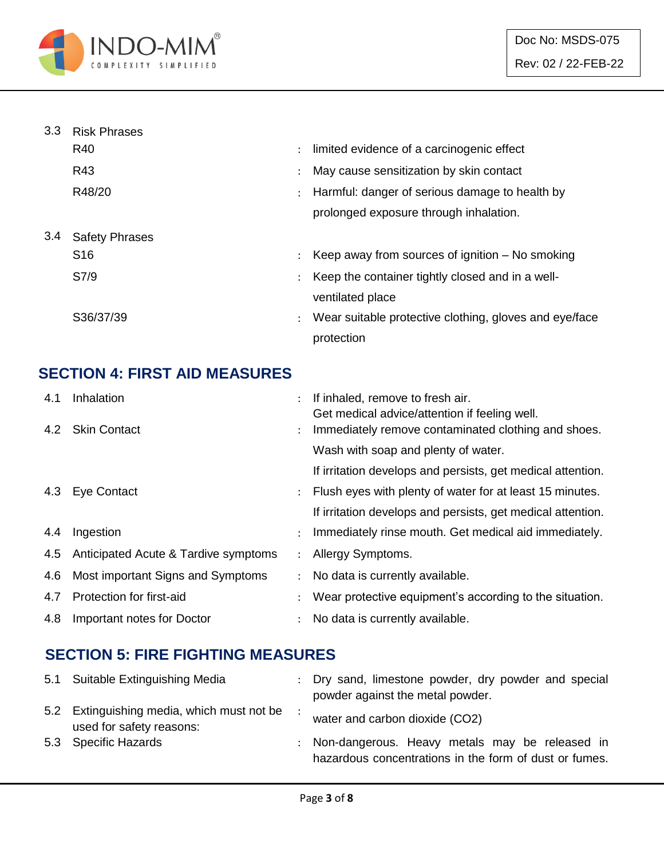

| 3.3 | <b>Risk Phrases</b>   |                      |                                                        |
|-----|-----------------------|----------------------|--------------------------------------------------------|
|     | R40                   | $\ddot{\phantom{a}}$ | limited evidence of a carcinogenic effect              |
|     | R43                   | $\ddot{\cdot}$       | May cause sensitization by skin contact                |
|     | R48/20                |                      | Harmful: danger of serious damage to health by         |
|     |                       |                      | prolonged exposure through inhalation.                 |
| 3.4 | <b>Safety Phrases</b> |                      |                                                        |
|     | S <sub>16</sub>       | ÷                    | Keep away from sources of ignition $-$ No smoking      |
|     | S7/9                  | $\ddot{\phantom{a}}$ | Keep the container tightly closed and in a well-       |
|     |                       |                      | ventilated place                                       |
|     | S36/37/39             | $\ddot{\cdot}$       | Wear suitable protective clothing, gloves and eye/face |
|     |                       |                      | protection                                             |

# **SECTION 4: FIRST AID MEASURES**

| 4.1<br>4.2 | Inhalation<br><b>Skin Contact</b>    |                      | If inhaled, remove to fresh air.<br>Get medical advice/attention if feeling well.<br>Immediately remove contaminated clothing and shoes. |
|------------|--------------------------------------|----------------------|------------------------------------------------------------------------------------------------------------------------------------------|
|            |                                      | $\ddot{\phantom{0}}$ | Wash with soap and plenty of water.                                                                                                      |
|            |                                      |                      |                                                                                                                                          |
|            |                                      |                      | If irritation develops and persists, get medical attention.                                                                              |
| 4.3        | Eye Contact                          |                      | Flush eyes with plenty of water for at least 15 minutes.                                                                                 |
|            |                                      |                      | If irritation develops and persists, get medical attention.                                                                              |
| 4.4        | Ingestion                            |                      | Immediately rinse mouth. Get medical aid immediately.                                                                                    |
| 4.5        | Anticipated Acute & Tardive symptoms | $\ddot{\phantom{a}}$ | Allergy Symptoms.                                                                                                                        |
| 4.6        | Most important Signs and Symptoms    |                      | No data is currently available.                                                                                                          |
| 4.7        | Protection for first-aid             |                      | Wear protective equipment's according to the situation.                                                                                  |
| 4.8        | Important notes for Doctor           |                      | No data is currently available.                                                                                                          |

# **SECTION 5: FIRE FIGHTING MEASURES**

| 5.1 Suitable Extinguishing Media                                       | : Dry sand, limestone powder, dry powder and special<br>powder against the metal powder.                   |
|------------------------------------------------------------------------|------------------------------------------------------------------------------------------------------------|
| 5.2 Extinguishing media, which must not be<br>used for safety reasons: | water and carbon dioxide (CO2)                                                                             |
| 5.3 Specific Hazards                                                   | : Non-dangerous. Heavy metals may be released in<br>hazardous concentrations in the form of dust or fumes. |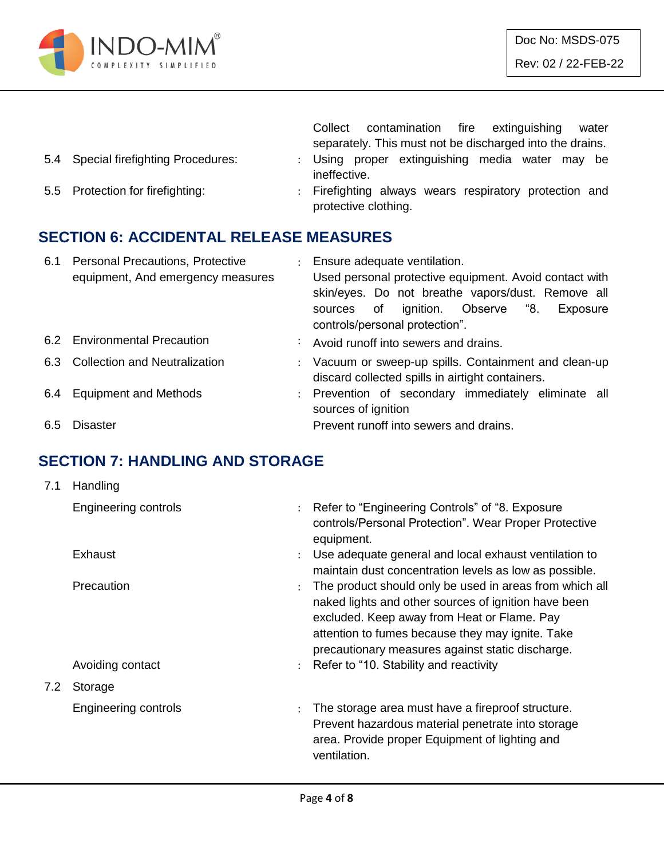

|     |                                                                              |                           | contamination fire<br>extinguishing<br>Collect<br>water<br>separately. This must not be discharged into the drains.                                                                                                                |
|-----|------------------------------------------------------------------------------|---------------------------|------------------------------------------------------------------------------------------------------------------------------------------------------------------------------------------------------------------------------------|
| 5.4 | Special firefighting Procedures:                                             | $\mathbb{Z}^{\mathbb{Z}}$ | Using proper extinguishing media water may be<br>ineffective.                                                                                                                                                                      |
| 5.5 | Protection for firefighting:                                                 |                           | : Firefighting always wears respiratory protection and<br>protective clothing.                                                                                                                                                     |
|     | <b>SECTION 6: ACCIDENTAL RELEASE MEASURES</b>                                |                           |                                                                                                                                                                                                                                    |
| 6.1 | <b>Personal Precautions, Protective</b><br>equipment, And emergency measures |                           | : Ensure adequate ventilation.<br>Used personal protective equipment. Avoid contact with<br>skin/eyes. Do not breathe vapors/dust. Remove all<br>of ignition. Observe "8.<br>Exposure<br>sources<br>controls/personal protection". |
|     | 6.2 Environmental Precaution                                                 | ÷                         | Avoid runoff into sewers and drains.                                                                                                                                                                                               |
| 6.3 | <b>Collection and Neutralization</b>                                         |                           | Vacuum or sweep-up spills. Containment and clean-up<br>discard collected spills in airtight containers.                                                                                                                            |
| 6.4 | <b>Equipment and Methods</b>                                                 |                           | : Prevention of secondary immediately eliminate all<br>sources of ignition                                                                                                                                                         |

6.5 Disaster **Prevent runoff into sewers and drains.** 

7.1 Handling

# **SECTION 7: HANDLING AND STORAGE**

|     | <b>Engineering controls</b> |                      | : Refer to "Engineering Controls" of "8. Exposure<br>controls/Personal Protection". Wear Proper Protective<br>equipment.                                                                                                                                               |
|-----|-----------------------------|----------------------|------------------------------------------------------------------------------------------------------------------------------------------------------------------------------------------------------------------------------------------------------------------------|
|     | Exhaust                     | $\ddot{\phantom{a}}$ | Use adequate general and local exhaust ventilation to<br>maintain dust concentration levels as low as possible.                                                                                                                                                        |
|     | Precaution                  |                      | The product should only be used in areas from which all<br>naked lights and other sources of ignition have been<br>excluded. Keep away from Heat or Flame. Pay<br>attention to fumes because they may ignite. Take<br>precautionary measures against static discharge. |
|     | Avoiding contact            |                      | $\therefore$ Refer to "10. Stability and reactivity                                                                                                                                                                                                                    |
| 7.2 | Storage                     |                      |                                                                                                                                                                                                                                                                        |
|     | <b>Engineering controls</b> | $\ddot{\cdot}$       | The storage area must have a fireproof structure.<br>Prevent hazardous material penetrate into storage<br>area. Provide proper Equipment of lighting and<br>ventilation.                                                                                               |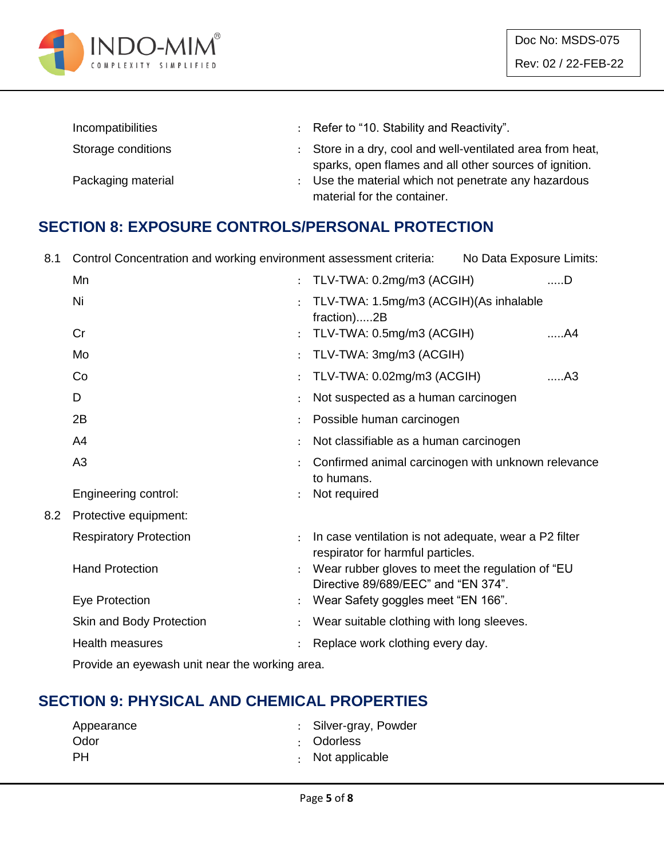

| Incompatibilities  |               | : Refer to "10. Stability and Reactivity".                 |
|--------------------|---------------|------------------------------------------------------------|
| Storage conditions |               | : Store in a dry, cool and well-ventilated area from heat, |
|                    |               | sparks, open flames and all other sources of ignition.     |
| Packaging material | $\mathcal{L}$ | Use the material which not penetrate any hazardous         |
|                    |               | material for the container.                                |

# **SECTION 8: EXPOSURE CONTROLS/PERSONAL PROTECTION**

| 8.1 | Control Concentration and working environment assessment criteria: | No Data Exposure Limits:                                                                   |                |
|-----|--------------------------------------------------------------------|--------------------------------------------------------------------------------------------|----------------|
|     | Mn                                                                 | TLV-TWA: 0.2mg/m3 (ACGIH)                                                                  | ……D            |
|     | Ni                                                                 | TLV-TWA: 1.5mg/m3 (ACGIH)(As inhalable<br>fraction)2B                                      |                |
|     | Cr                                                                 | TLV-TWA: 0.5mg/m3 (ACGIH)                                                                  | A4             |
|     | Mo                                                                 | TLV-TWA: 3mg/m3 (ACGIH)                                                                    |                |
|     | Co                                                                 | TLV-TWA: 0.02mg/m3 (ACGIH)                                                                 | A <sub>3</sub> |
|     | D                                                                  | Not suspected as a human carcinogen                                                        |                |
|     | 2B                                                                 | Possible human carcinogen                                                                  |                |
|     | A4                                                                 | Not classifiable as a human carcinogen                                                     |                |
|     | A3                                                                 | Confirmed animal carcinogen with unknown relevance<br>to humans.                           |                |
|     | Engineering control:                                               | Not required                                                                               |                |
| 8.2 | Protective equipment:                                              |                                                                                            |                |
|     | <b>Respiratory Protection</b>                                      | In case ventilation is not adequate, wear a P2 filter<br>respirator for harmful particles. |                |
|     | <b>Hand Protection</b>                                             | Wear rubber gloves to meet the regulation of "EU<br>Directive 89/689/EEC" and "EN 374".    |                |
|     | Eye Protection                                                     | Wear Safety goggles meet "EN 166".                                                         |                |
|     | Skin and Body Protection                                           | Wear suitable clothing with long sleeves.                                                  |                |
|     | <b>Health measures</b>                                             | Replace work clothing every day.                                                           |                |
|     | Provide an eyewash unit near the working area.                     |                                                                                            |                |

# **SECTION 9: PHYSICAL AND CHEMICAL PROPERTIES**

| Appearance | : Silver-gray, Powder  |
|------------|------------------------|
| Odor       | : Odorless             |
| PH.        | $\cdot$ Not applicable |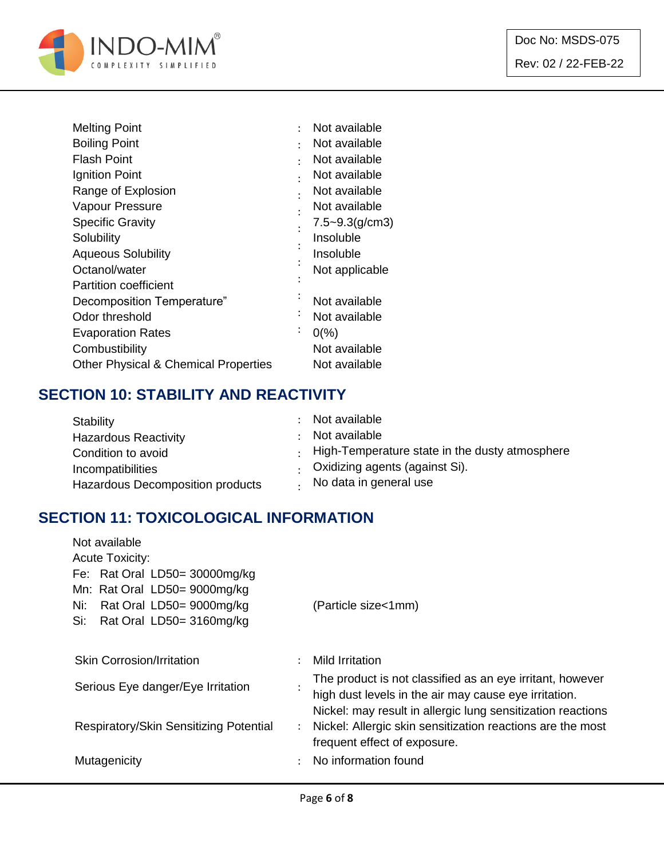

| <b>Melting Point</b>                            | ٠         | Not available      |
|-------------------------------------------------|-----------|--------------------|
| <b>Boiling Point</b>                            | ٠         | Not available      |
| <b>Flash Point</b>                              | ٠         | Not available      |
| Ignition Point                                  |           | Not available      |
| Range of Explosion                              |           | Not available      |
| Vapour Pressure                                 |           | Not available      |
| <b>Specific Gravity</b>                         |           | $7.5 - 9.3(g/cm3)$ |
| Solubility                                      |           | Insoluble          |
| <b>Aqueous Solubility</b>                       |           | Insoluble          |
| Octanol/water                                   |           | Not applicable     |
| <b>Partition coefficient</b>                    |           |                    |
| Decomposition Temperature"                      |           | Not available      |
| Odor threshold                                  | ٠         | Not available      |
| <b>Evaporation Rates</b>                        | $\bullet$ | $0\frac{9}{6}$     |
| Combustibility                                  |           | Not available      |
| <b>Other Physical &amp; Chemical Properties</b> |           | Not available      |

# **SECTION 10: STABILITY AND REACTIVITY**

| Stability                        | Not available                                          |
|----------------------------------|--------------------------------------------------------|
| <b>Hazardous Reactivity</b>      | Not available                                          |
| Condition to avoid               | $\cdot$ High-Temperature state in the dusty atmosphere |
| Incompatibilities                | Oxidizing agents (against Si).                         |
| Hazardous Decomposition products | No data in general use                                 |

# **SECTION 11: TOXICOLOGICAL INFORMATION**

| Not available                                                                                        |                                                                                                                      |  |  |  |  |
|------------------------------------------------------------------------------------------------------|----------------------------------------------------------------------------------------------------------------------|--|--|--|--|
|                                                                                                      |                                                                                                                      |  |  |  |  |
|                                                                                                      |                                                                                                                      |  |  |  |  |
|                                                                                                      |                                                                                                                      |  |  |  |  |
|                                                                                                      | (Particle size<1mm)                                                                                                  |  |  |  |  |
|                                                                                                      |                                                                                                                      |  |  |  |  |
|                                                                                                      |                                                                                                                      |  |  |  |  |
| <b>Skin Corrosion/Irritation</b><br>Mild Irritation<br>$\ddot{\phantom{a}}$                          |                                                                                                                      |  |  |  |  |
|                                                                                                      | The product is not classified as an eye irritant, however                                                            |  |  |  |  |
|                                                                                                      | high dust levels in the air may cause eye irritation.<br>Nickel: may result in allergic lung sensitization reactions |  |  |  |  |
| Nickel: Allergic skin sensitization reactions are the most<br>Respiratory/Skin Sensitizing Potential |                                                                                                                      |  |  |  |  |
|                                                                                                      | frequent effect of exposure.                                                                                         |  |  |  |  |
|                                                                                                      |                                                                                                                      |  |  |  |  |
|                                                                                                      | No information found                                                                                                 |  |  |  |  |
|                                                                                                      | $\ddot{\phantom{a}}$                                                                                                 |  |  |  |  |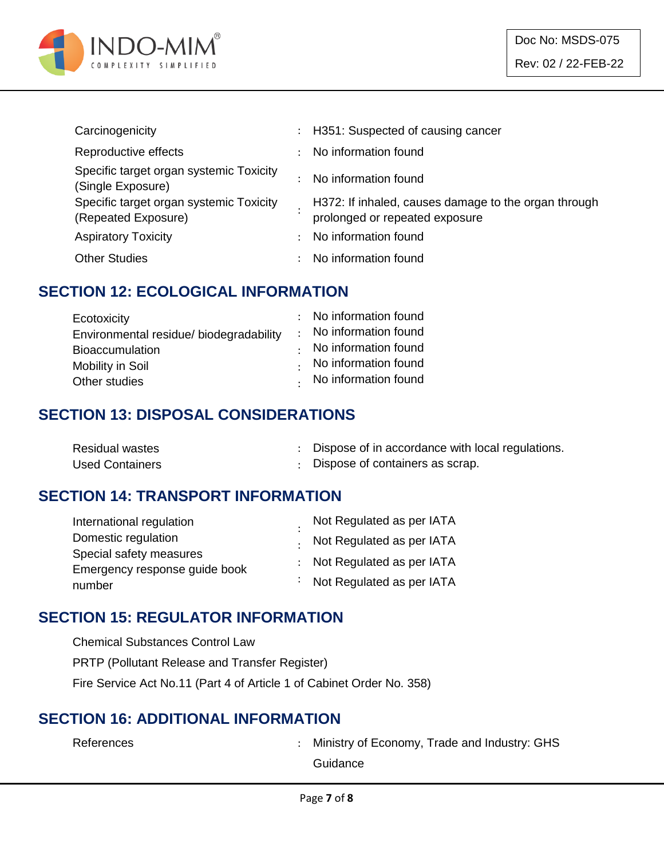

| Carcinogenicity                                                |   | : H351: Suspected of causing cancer                                                    |
|----------------------------------------------------------------|---|----------------------------------------------------------------------------------------|
| Reproductive effects                                           | ÷ | No information found                                                                   |
| Specific target organ systemic Toxicity<br>(Single Exposure)   |   | No information found                                                                   |
| Specific target organ systemic Toxicity<br>(Repeated Exposure) |   | H372: If inhaled, causes damage to the organ through<br>prolonged or repeated exposure |
| <b>Aspiratory Toxicity</b>                                     |   | No information found                                                                   |
| <b>Other Studies</b>                                           |   | No information found                                                                   |

#### **SECTION 12: ECOLOGICAL INFORMATION**

| Ecotoxicity                             | : No information found       |
|-----------------------------------------|------------------------------|
| Environmental residue/ biodegradability | : No information found       |
| <b>Bioaccumulation</b>                  | $\cdot$ No information found |
| Mobility in Soil                        | $\cdot$ No information found |
| Other studies                           | . No information found       |

#### **SECTION 13: DISPOSAL CONSIDERATIONS**

| Residual wastes | Dispose of in accordance with local regulations. |
|-----------------|--------------------------------------------------|
| Used Containers | : Dispose of containers as scrap.                |

# **SECTION 14: TRANSPORT INFORMATION**

| International regulation      | Not Regulated as per IATA   |
|-------------------------------|-----------------------------|
| Domestic regulation           | . Not Regulated as per IATA |
| Special safety measures       | : Not Regulated as per IATA |
| Emergency response guide book |                             |
| number                        | : Not Regulated as per IATA |

#### **SECTION 15: REGULATOR INFORMATION**

| <b>Chemical Substances Control Law</b>                                |  |
|-----------------------------------------------------------------------|--|
| <b>PRTP (Pollutant Release and Transfer Register)</b>                 |  |
| Fire Service Act No.11 (Part 4 of Article 1 of Cabinet Order No. 358) |  |

#### **SECTION 16: ADDITIONAL INFORMATION**

| References | : Ministry of Economy, Trade and Industry: GHS |
|------------|------------------------------------------------|
|            | Guidance                                       |